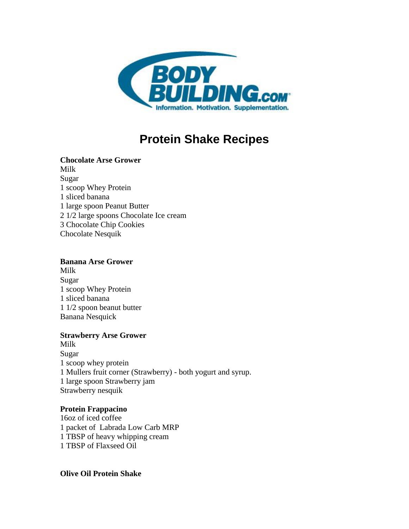

# **Protein Shake Recipes**

#### **Chocolate Arse Grower** Milk

Sugar 1 scoop Whey Protein 1 sliced banana 1 large spoon Peanut Butter 2 1/2 large spoons Chocolate Ice cream 3 Chocolate Chip Cookies Chocolate Nesquik

# **Banana Arse Grower**

Milk Sugar 1 scoop Whey Protein 1 sliced banana 1 1/2 spoon beanut butter Banana Nesquick

# **Strawberry Arse Grower**

Milk Sugar 1 scoop whey protein 1 Mullers fruit corner (Strawberry) - both yogurt and syrup. 1 large spoon Strawberry jam Strawberry nesquik

# **Protein Frappacino**

16oz of iced coffee 1 packet of Labrada Low Carb MRP 1 TBSP of heavy whipping cream 1 TBSP of Flaxseed Oil

# **Olive Oil Protein Shake**